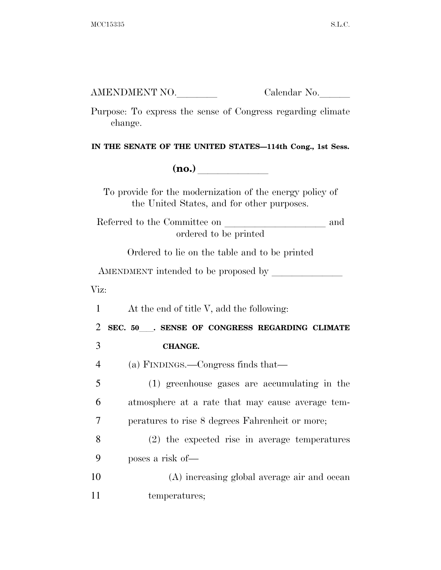AMENDMENT NO. Calendar No.

Purpose: To express the sense of Congress regarding climate change.

**IN THE SENATE OF THE UNITED STATES—114th Cong., 1st Sess.** 

**(no.)**  $\qquad \qquad \blacksquare$ 

To provide for the modernization of the energy policy of the United States, and for other purposes.

Referred to the Committee on and ordered to be printed

Ordered to lie on the table and to be printed

AMENDMENT intended to be proposed by

Viz:

1 At the end of title V, add the following:

<sup>2</sup> **SEC. 50**ll**. SENSE OF CONGRESS REGARDING CLIMATE** 

3 **CHANGE.** 

4 (a) FINDINGS.—Congress finds that—

5 (1) greenhouse gases are accumulating in the 6 atmosphere at a rate that may cause average tem-7 peratures to rise 8 degrees Fahrenheit or more;

8 (2) the expected rise in average temperatures 9 poses a risk of—

10 (A) increasing global average air and ocean 11 temperatures;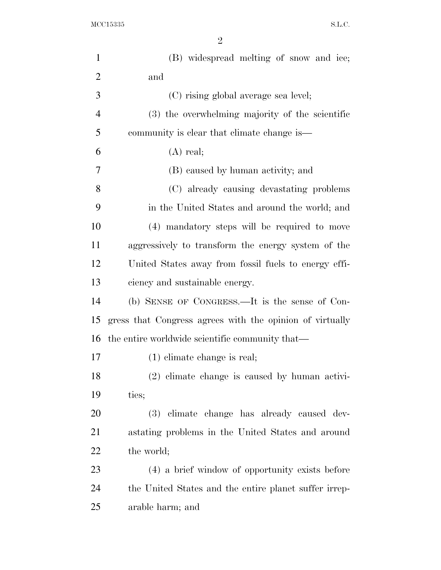$\rm{MCC15335} \qquad \qquad \ \ \, \textrm{S.L.C.}$ 

| $\mathbf{1}$   | (B) widespread melting of snow and ice;                  |
|----------------|----------------------------------------------------------|
| $\overline{2}$ | and                                                      |
| 3              | (C) rising global average sea level;                     |
| $\overline{4}$ | (3) the overwhelming majority of the scientific          |
| 5              | community is clear that climate change is—               |
| 6              | $(A)$ real;                                              |
| 7              | (B) caused by human activity; and                        |
| 8              | (C) already causing devastating problems                 |
| 9              | in the United States and around the world; and           |
| 10             | (4) mandatory steps will be required to move             |
| 11             | aggressively to transform the energy system of the       |
| 12             | United States away from fossil fuels to energy effi-     |
| 13             | ciency and sustainable energy.                           |
| 14             | (b) SENSE OF CONGRESS.—It is the sense of Con-           |
| 15             | gress that Congress agrees with the opinion of virtually |
| 16             | the entire worldwide scientific community that—          |
| 17             | $(1)$ climate change is real;                            |
| 18             | $(2)$ climate change is caused by human activi-          |
| 19             | ties;                                                    |
| 20             | (3) climate change has already caused dev-               |
| 21             | astating problems in the United States and around        |
| 22             | the world;                                               |
| 23             | (4) a brief window of opportunity exists before          |
| 24             | the United States and the entire planet suffer irrep-    |
| 25             | arable harm; and                                         |